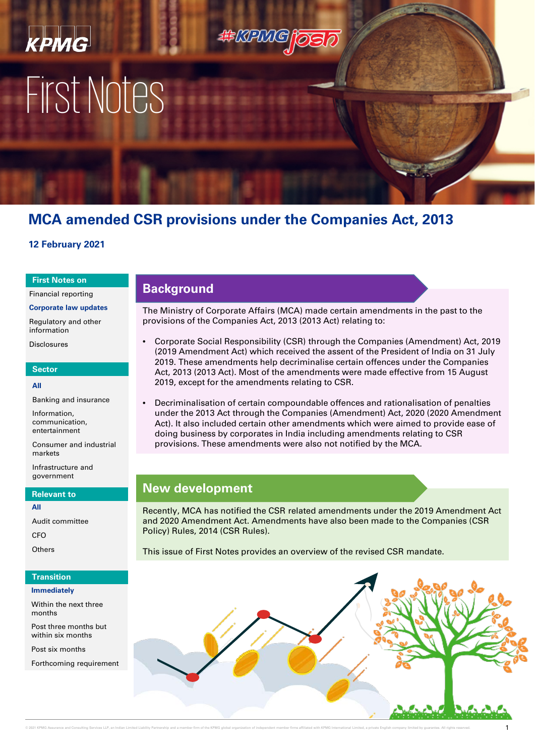# КРМС First Notes

## **MCA amended CSR provisions under the Companies Act, 2013**

**EEKPMG** 

## **12 February 2021**

#### **First Notes on**

Financial reporting

**Corporate law updates**

Regulatory and other information

Disclosures

### **Sector**

#### **All**

Banking and insurance

Information, communication, entertainment

Consumer and industrial markets

Infrastructure and government

#### **Relevant to**

**All**

Audit committee

C<sub>FO</sub>

**Others** 

## **Transition**

#### **Immediately**

Within the next three months

Post three months but within six months

Post six months

Forthcoming requirement

## **Background**

The Ministry of Corporate Affairs (MCA) made certain amendments in the past to the provisions of the Companies Act, 2013 (2013 Act) relating to:

- Corporate Social Responsibility (CSR) through the Companies (Amendment) Act, 2019 (2019 Amendment Act) which received the assent of the President of India on 31 July 2019. These amendments help decriminalise certain offences under the Companies Act, 2013 (2013 Act). Most of the amendments were made effective from 15 August 2019, except for the amendments relating to CSR.
- Decriminalisation of certain compoundable offences and rationalisation of penalties under the 2013 Act through the Companies (Amendment) Act, 2020 (2020 Amendment Act). It also included certain other amendments which were aimed to provide ease of doing business by corporates in India including amendments relating to CSR provisions. These amendments were also not notified by the MCA.

## **New development**

Recently, MCA has notified the CSR related amendments under the 2019 Amendment Act and 2020 Amendment Act. Amendments have also been made to the Companies (CSR Policy) Rules, 2014 (CSR Rules).

This issue of First Notes provides an overview of the revised CSR mandate.

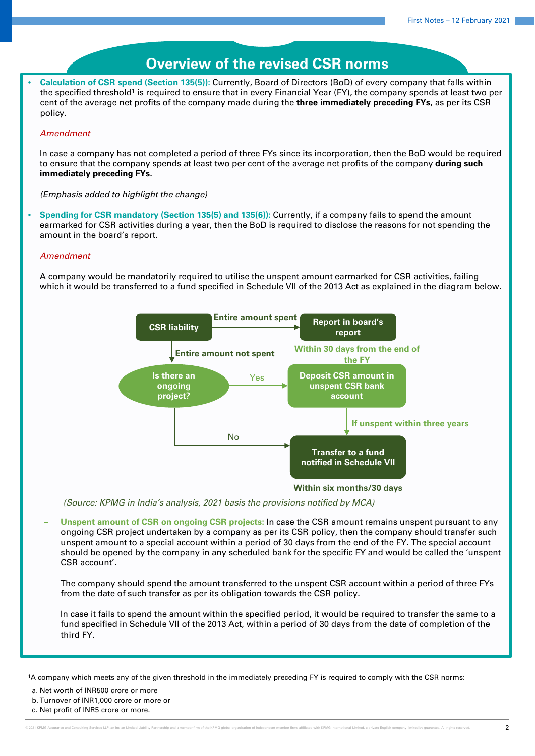## **Overview of the revised CSR norms**

• **Calculation of CSR spend (Section 135(5)):** Currently, Board of Directors (BoD) of every company that falls within the specified threshold<sup>1</sup> is required to ensure that in every Financial Year (FY), the company spends at least two per cent of the average net profits of the company made during the **three immediately preceding FYs**, as per its CSR policy.

#### *Amendment*

In case a company has not completed a period of three FYs since its incorporation, then the BoD would be required to ensure that the company spends at least two per cent of the average net profits of the company **during such immediately preceding FYs.**

*(Emphasis added to highlight the change)*

• **Spending for CSR mandatory (Section 135(5) and 135(6)):** Currently, if a company fails to spend the amount earmarked for CSR activities during a year, then the BoD is required to disclose the reasons for not spending the amount in the board's report.

#### *Amendment*

A company would be mandatorily required to utilise the unspent amount earmarked for CSR activities, failing which it would be transferred to a fund specified in Schedule VII of the 2013 Act as explained in the diagram below.



*(Source: KPMG in India's analysis, 2021 basis the provisions notified by MCA)*

– **Unspent amount of CSR on ongoing CSR projects:** In case the CSR amount remains unspent pursuant to any ongoing CSR project undertaken by a company as per its CSR policy, then the company should transfer such unspent amount to a special account within a period of 30 days from the end of the FY. The special account should be opened by the company in any scheduled bank for the specific FY and would be called the 'unspent CSR account'.

The company should spend the amount transferred to the unspent CSR account within a period of three FYs from the date of such transfer as per its obligation towards the CSR policy.

In case it fails to spend the amount within the specified period, it would be required to transfer the same to a fund specified in Schedule VII of the 2013 Act, within a period of 30 days from the date of completion of the third FY.

a. Net worth of INR500 crore or more

<sup>1</sup>A company which meets any of the given threshold in the immediately preceding FY is required to comply with the CSR norms:

b. Turnover of INR1,000 crore or more or

c. Net profit of INR5 crore or more.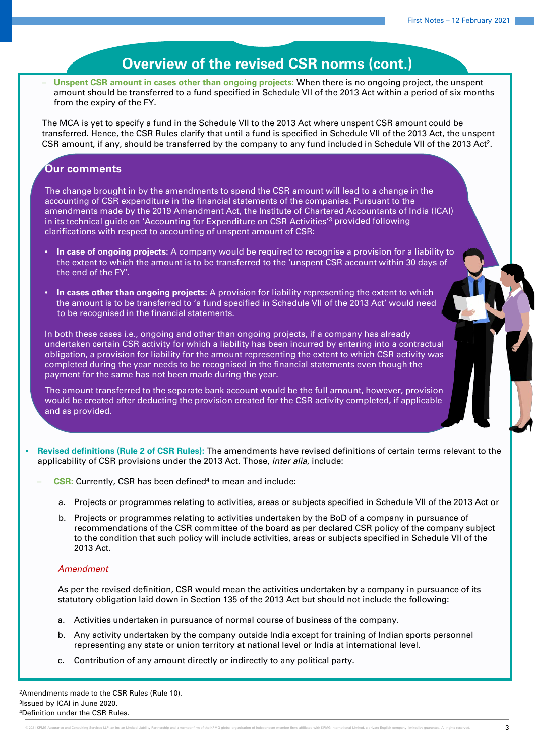– **Unspent CSR amount in cases other than ongoing projects:** When there is no ongoing project, the unspent amount should be transferred to a fund specified in Schedule VII of the 2013 Act within a period of six months from the expiry of the FY.

The MCA is yet to specify a fund in the Schedule VII to the 2013 Act where unspent CSR amount could be transferred. Hence, the CSR Rules clarify that until a fund is specified in Schedule VII of the 2013 Act, the unspent CSR amount, if any, should be transferred by the company to any fund included in Schedule VII of the 2013 Act<sup>2</sup>.

## **Our comments**

The change brought in by the amendments to spend the CSR amount will lead to a change in the accounting of CSR expenditure in the financial statements of the companies. Pursuant to the amendments made by the 2019 Amendment Act, the Institute of Chartered Accountants of India (ICAI) in its technical guide on 'Accounting for Expenditure on CSR Activities<sup>'3</sup> provided following clarifications with respect to accounting of unspent amount of CSR:

- **In case of ongoing projects:** A company would be required to recognise a provision for a liability to the extent to which the amount is to be transferred to the 'unspent CSR account within 30 days of the end of the FY'.
- **In cases other than ongoing projects:** A provision for liability representing the extent to which the amount is to be transferred to 'a fund specified in Schedule VII of the 2013 Act' would need to be recognised in the financial statements.

In both these cases i.e., ongoing and other than ongoing projects, if a company has already undertaken certain CSR activity for which a liability has been incurred by entering into a contractual obligation, a provision for liability for the amount representing the extent to which CSR activity was completed during the year needs to be recognised in the financial statements even though the payment for the same has not been made during the year.

The amount transferred to the separate bank account would be the full amount, however, provision would be created after deducting the provision created for the CSR activity completed, if applicable and as provided.

- **Revised definitions (Rule 2 of CSR Rules):** The amendments have revised definitions of certain terms relevant to the applicability of CSR provisions under the 2013 Act. Those, *inter alia*, include:
	- **CSR:** Currently, CSR has been defined<sup>4</sup> to mean and include:
		- a. Projects or programmes relating to activities, areas or subjects specified in Schedule VII of the 2013 Act or
		- b. Projects or programmes relating to activities undertaken by the BoD of a company in pursuance of recommendations of the CSR committee of the board as per declared CSR policy of the company subject to the condition that such policy will include activities, areas or subjects specified in Schedule VII of the 2013 Act.

## *Amendment*

As per the revised definition, CSR would mean the activities undertaken by a company in pursuance of its statutory obligation laid down in Section 135 of the 2013 Act but should not include the following:

- a. Activities undertaken in pursuance of normal course of business of the company.
- b. Any activity undertaken by the company outside India except for training of Indian sports personnel representing any state or union territory at national level or India at international level.
- c. Contribution of any amount directly or indirectly to any political party.

<sup>2</sup>Amendments made to the CSR Rules (Rule 10). 3Issued by ICAI in June 2020. 4Definition under the CSR Rules.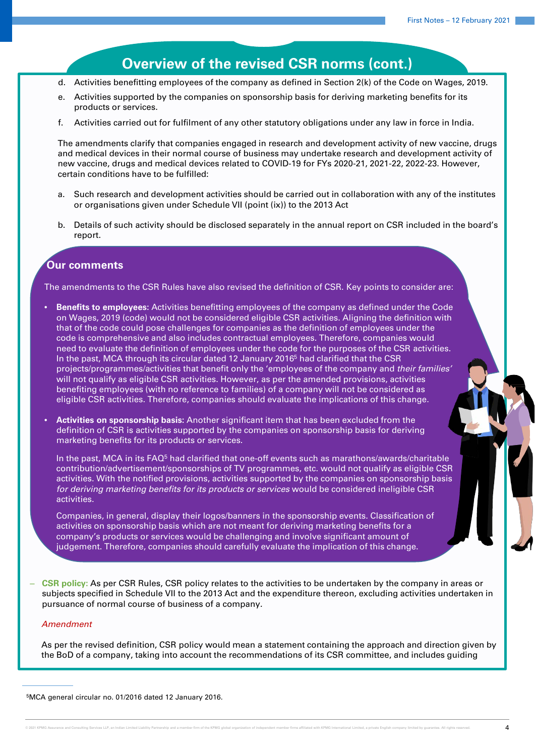- d. Activities benefitting employees of the company as defined in Section 2(k) of the Code on Wages, 2019.
- e. Activities supported by the companies on sponsorship basis for deriving marketing benefits for its products or services.
- f. Activities carried out for fulfilment of any other statutory obligations under any law in force in India.

The amendments clarify that companies engaged in research and development activity of new vaccine, drugs and medical devices in their normal course of business may undertake research and development activity of new vaccine, drugs and medical devices related to COVID-19 for FYs 2020-21, 2021-22, 2022-23. However, certain conditions have to be fulfilled:

- a. Such research and development activities should be carried out in collaboration with any of the institutes or organisations given under Schedule VII (point (ix)) to the 2013 Act
- b. Details of such activity should be disclosed separately in the annual report on CSR included in the board's report.

## **Our comments**

The amendments to the CSR Rules have also revised the definition of CSR. Key points to consider are:

- **Benefits to employees:** Activities benefitting employees of the company as defined under the Code on Wages, 2019 (code) would not be considered eligible CSR activities. Aligning the definition with that of the code could pose challenges for companies as the definition of employees under the code is comprehensive and also includes contractual employees. Therefore, companies would need to evaluate the definition of employees under the code for the purposes of the CSR activities. In the past, MCA through its circular dated 12 January 20165 had clarified that the CSR projects/programmes/activities that benefit only the 'employees of the company and *their families'* will not qualify as eligible CSR activities. However, as per the amended provisions, activities benefiting employees (with no reference to families) of a company will not be considered as eligible CSR activities. Therefore, companies should evaluate the implications of this change.
- **Activities on sponsorship basis:** Another significant item that has been excluded from the definition of CSR is activities supported by the companies on sponsorship basis for deriving marketing benefits for its products or services.

In the past, MCA in its  $FAQ<sup>5</sup>$  had clarified that one-off events such as marathons/awards/charitable contribution/advertisement/sponsorships of TV programmes, etc. would not qualify as eligible CSR activities. With the notified provisions, activities supported by the companies on sponsorship basis *for deriving marketing benefits for its products or services* would be considered ineligible CSR activities.

Companies, in general, display their logos/banners in the sponsorship events. Classification of activities on sponsorship basis which are not meant for deriving marketing benefits for a company's products or services would be challenging and involve significant amount of judgement. Therefore, companies should carefully evaluate the implication of this change.

‒ **CSR policy:** As per CSR Rules, CSR policy relates to the activities to be undertaken by the company in areas or subjects specified in Schedule VII to the 2013 Act and the expenditure thereon, excluding activities undertaken in pursuance of normal course of business of a company*.* 

## *Amendment*

As per the revised definition, CSR policy would mean a statement containing the approach and direction given by the BoD of a company, taking into account the recommendations of its CSR committee, and includes guiding

<sup>5</sup>MCA general circular no. 01/2016 dated 12 January 2016.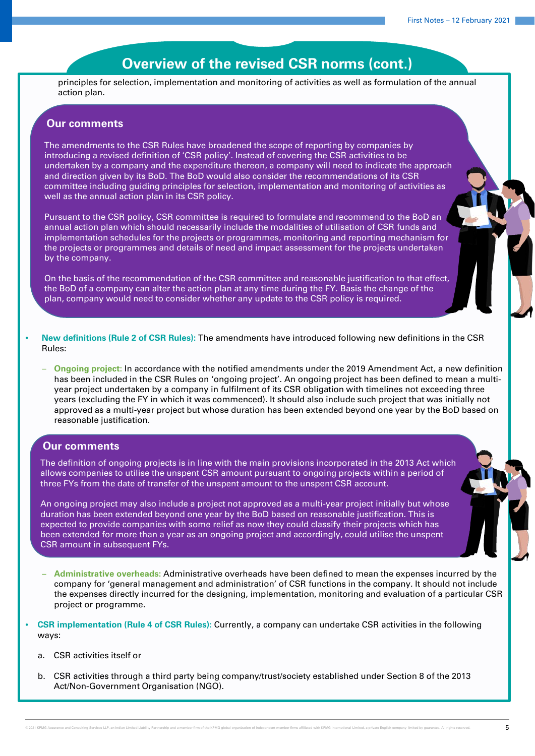principles for selection, implementation and monitoring of activities as well as formulation of the annual action plan.

## **Our comments**

The amendments to the CSR Rules have broadened the scope of reporting by companies by introducing a revised definition of 'CSR policy'. Instead of covering the CSR activities to be undertaken by a company and the expenditure thereon, a company will need to indicate the approach and direction given by its BoD. The BoD would also consider the recommendations of its CSR committee including guiding principles for selection, implementation and monitoring of activities as well as the annual action plan in its CSR policy.

Pursuant to the CSR policy, CSR committee is required to formulate and recommend to the BoD an annual action plan which should necessarily include the modalities of utilisation of CSR funds and implementation schedules for the projects or programmes, monitoring and reporting mechanism for the projects or programmes and details of need and impact assessment for the projects undertaken by the company.

On the basis of the recommendation of the CSR committee and reasonable justification to that effect, the BoD of a company can alter the action plan at any time during the FY. Basis the change of the plan, company would need to consider whether any update to the CSR policy is required.

- **New definitions (Rule 2 of CSR Rules):** The amendments have introduced following new definitions in the CSR Rules:
	- **Ongoing project:** In accordance with the notified amendments under the 2019 Amendment Act, a new definition has been included in the CSR Rules on 'ongoing project'. An ongoing project has been defined to mean a multiyear project undertaken by a company in fulfilment of its CSR obligation with timelines not exceeding three years (excluding the FY in which it was commenced). It should also include such project that was initially not approved as a multi-year project but whose duration has been extended beyond one year by the BoD based on reasonable justification.

## **Our comments**

The definition of ongoing projects is in line with the main provisions incorporated in the 2013 Act which allows companies to utilise the unspent CSR amount pursuant to ongoing projects within a period of three FYs from the date of transfer of the unspent amount to the unspent CSR account.

An ongoing project may also include a project not approved as a multi-year project initially but whose duration has been extended beyond one year by the BoD based on reasonable justification. This is expected to provide companies with some relief as now they could classify their projects which has been extended for more than a year as an ongoing project and accordingly, could utilise the unspent CSR amount in subsequent FYs.

- **Administrative overheads:** Administrative overheads have been defined to mean the expenses incurred by the company for 'general management and administration' of CSR functions in the company. It should not include the expenses directly incurred for the designing, implementation, monitoring and evaluation of a particular CSR project or programme.
- **CSR implementation (Rule 4 of CSR Rules):** Currently, a company can undertake CSR activities in the following ways:
	- a. CSR activities itself or
	- b. CSR activities through a third party being company/trust/society established under Section 8 of the 2013 Act/Non-Government Organisation (NGO).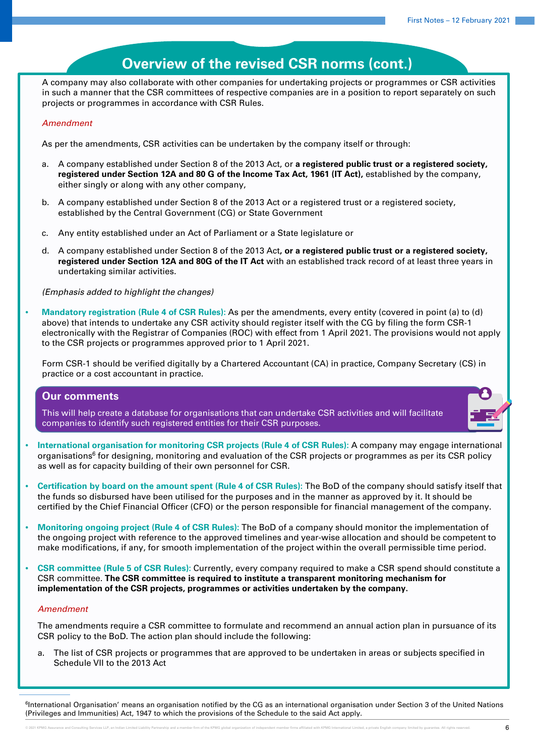A company may also collaborate with other companies for undertaking projects or programmes or CSR activities in such a manner that the CSR committees of respective companies are in a position to report separately on such projects or programmes in accordance with CSR Rules.

## *Amendment*

As per the amendments, CSR activities can be undertaken by the company itself or through:

- a. A company established under Section 8 of the 2013 Act, or **a registered public trust or a registered society, registered under Section 12A and 80 G of the Income Tax Act, 1961 (IT Act),** established by the company, either singly or along with any other company,
- b. A company established under Section 8 of the 2013 Act or a registered trust or a registered society, established by the Central Government (CG) or State Government
- c. Any entity established under an Act of Parliament or a State legislature or
- d. A company established under Section 8 of the 2013 Act**, or a registered public trust or a registered society, registered under Section 12A and 80G of the IT Act** with an established track record of at least three years in undertaking similar activities.

*(Emphasis added to highlight the changes)*

• **Mandatory registration (Rule 4 of CSR Rules):** As per the amendments, every entity (covered in point (a) to (d) above) that intends to undertake any CSR activity should register itself with the CG by filing the form CSR-1 electronically with the Registrar of Companies (ROC) with effect from 1 April 2021. The provisions would not apply to the CSR projects or programmes approved prior to 1 April 2021.

Form CSR-1 should be verified digitally by a Chartered Accountant (CA) in practice, Company Secretary (CS) in practice or a cost accountant in practice.

## **Our comments**

This will help create a database for organisations that can undertake CSR activities and will facilitate companies to identify such registered entities for their CSR purposes.



- **International organisation for monitoring CSR projects (Rule 4 of CSR Rules):** A company may engage international organisations<sup>6</sup> for designing, monitoring and evaluation of the CSR projects or programmes as per its CSR policy as well as for capacity building of their own personnel for CSR.
- **Certification by board on the amount spent (Rule 4 of CSR Rules):** The BoD of the company should satisfy itself that the funds so disbursed have been utilised for the purposes and in the manner as approved by it. It should be certified by the Chief Financial Officer (CFO) or the person responsible for financial management of the company.
- **Monitoring ongoing project (Rule 4 of CSR Rules):** The BoD of a company should monitor the implementation of the ongoing project with reference to the approved timelines and year-wise allocation and should be competent to make modifications, if any, for smooth implementation of the project within the overall permissible time period.
- **CSR committee (Rule 5 of CSR Rules):** Currently, every company required to make a CSR spend should constitute a CSR committee. **The CSR committee is required to institute a transparent monitoring mechanism for implementation of the CSR projects, programmes or activities undertaken by the company.**

#### *Amendment*

The amendments require a CSR committee to formulate and recommend an annual action plan in pursuance of its CSR policy to the BoD. The action plan should include the following:

a. The list of CSR projects or programmes that are approved to be undertaken in areas or subjects specified in Schedule VII to the 2013 Act

<sup>6</sup>International Organisation' means an organisation notified by the CG as an international organisation under Section 3 of the United Nations (Privileges and Immunities) Act, 1947 to which the provisions of the Schedule to the said Act apply.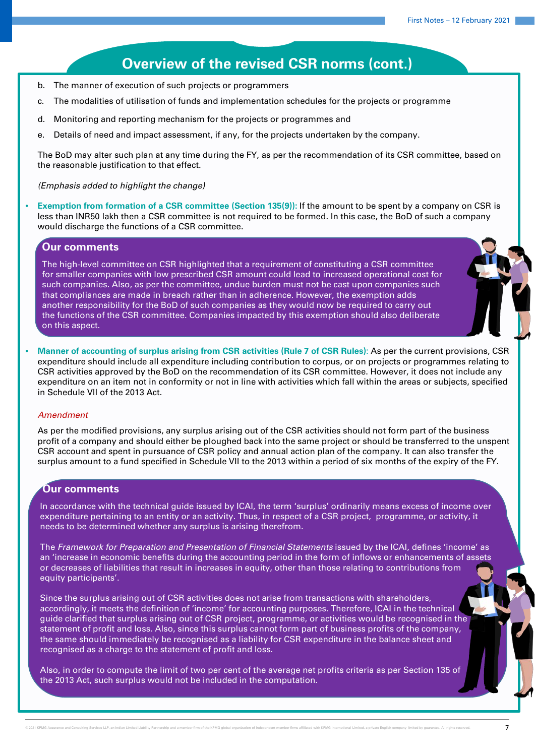- b. The manner of execution of such projects or programmers
- c. The modalities of utilisation of funds and implementation schedules for the projects or programme
- d. Monitoring and reporting mechanism for the projects or programmes and
- e. Details of need and impact assessment, if any, for the projects undertaken by the company.

The BoD may alter such plan at any time during the FY, as per the recommendation of its CSR committee, based on the reasonable justification to that effect.

*(Emphasis added to highlight the change)*

• **Exemption from formation of a CSR committee (Section 135(9)):** If the amount to be spent by a company on CSR is less than INR50 lakh then a CSR committee is not required to be formed. In this case, the BoD of such a company would discharge the functions of a CSR committee.

## **Our comments**

The high-level committee on CSR highlighted that a requirement of constituting a CSR committee for smaller companies with low prescribed CSR amount could lead to increased operational cost for such companies. Also, as per the committee, undue burden must not be cast upon companies such that compliances are made in breach rather than in adherence. However, the exemption adds another responsibility for the BoD of such companies as they would now be required to carry out the functions of the CSR committee. Companies impacted by this exemption should also deliberate on this aspect.

• **Manner of accounting of surplus arising from CSR activities (Rule 7 of CSR Rules)**: As per the current provisions, CSR expenditure should include all expenditure including contribution to corpus, or on projects or programmes relating to CSR activities approved by the BoD on the recommendation of its CSR committee. However, it does not include any expenditure on an item not in conformity or not in line with activities which fall within the areas or subjects, specified in Schedule VII of the 2013 Act.

#### *Amendment*

As per the modified provisions, any surplus arising out of the CSR activities should not form part of the business profit of a company and should either be ploughed back into the same project or should be transferred to the unspent CSR account and spent in pursuance of CSR policy and annual action plan of the company. It can also transfer the surplus amount to a fund specified in Schedule VII to the 2013 within a period of six months of the expiry of the FY.

## **Our comments**

In accordance with the technical guide issued by ICAI, the term 'surplus' ordinarily means excess of income over expenditure pertaining to an entity or an activity. Thus, in respect of a CSR project, programme, or activity, it needs to be determined whether any surplus is arising therefrom.

The *Framework for Preparation and Presentation of Financial Statements* issued by the ICAI, defines 'income' as an 'increase in economic benefits during the accounting period in the form of inflows or enhancements of assets or decreases of liabilities that result in increases in equity, other than those relating to contributions from equity participants'.

Since the surplus arising out of CSR activities does not arise from transactions with shareholders, accordingly, it meets the definition of 'income' for accounting purposes. Therefore, ICAI in the technical guide clarified that surplus arising out of CSR project, programme, or activities would be recognised in the statement of profit and loss. Also, since this surplus cannot form part of business profits of the company, the same should immediately be recognised as a liability for CSR expenditure in the balance sheet and recognised as a charge to the statement of profit and loss.

Also, in order to compute the limit of two per cent of the average net profits criteria as per Section 135 of the 2013 Act, such surplus would not be included in the computation.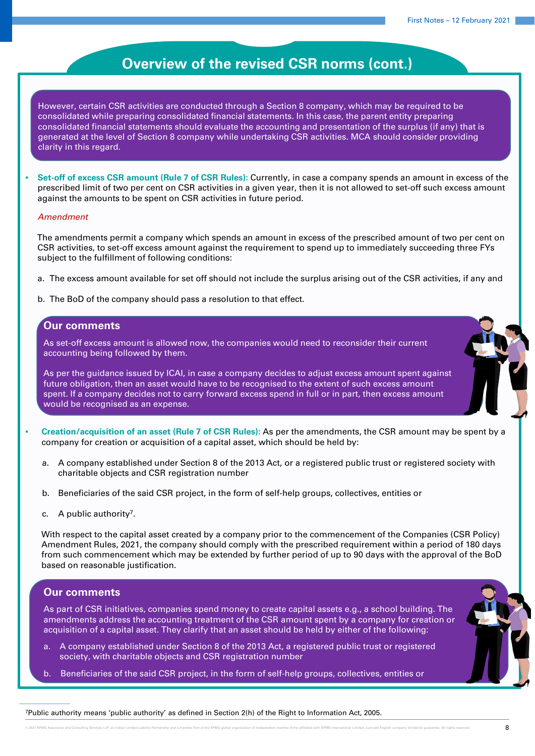However, certain CSR activities are conducted through a Section 8 company, which may be required to be consolidated while preparing consolidated financial statements. In this case, the parent entity preparing consolidated financial statements should evaluate the accounting and presentation of the surplus (if any) that is generated at the level of Section 8 company while undertaking CSR activities. MCA should consider providing clarity in this regard.

• **Set-off of excess CSR amount (Rule 7 of CSR Rules):** Currently, in case a company spends an amount in excess of the prescribed limit of two per cent on CSR activities in a given year, then it is not allowed to set-off such excess amount against the amounts to be spent on CSR activities in future period.

#### *Amendment*

The amendments permit a company which spends an amount in excess of the prescribed amount of two per cent on CSR activities, to set-off excess amount against the requirement to spend up to immediately succeeding three FYs subject to the fulfillment of following conditions:

- a. The excess amount available for set off should not include the surplus arising out of the CSR activities, if any and
- b. The BoD of the company should pass a resolution to that effect.

## **Our comments**

As set-off excess amount is allowed now, the companies would need to reconsider their current accounting being followed by them.

As per the guidance issued by ICAI, in case a company decides to adjust excess amount spent against future obligation, then an asset would have to be recognised to the extent of such excess amount spent. If a company decides not to carry forward excess spend in full or in part, then excess amount would be recognised as an expense.

- **Creation/acquisition of an asset (Rule 7 of CSR Rules):** As per the amendments, the CSR amount may be spent by a company for creation or acquisition of a capital asset, which should be held by:
	- a. A company established under Section 8 of the 2013 Act, or a registered public trust or registered society with charitable objects and CSR registration number
	- b. Beneficiaries of the said CSR project, in the form of self-help groups, collectives, entities or
	- c. A public authority<sup>7</sup>.

With respect to the capital asset created by a company prior to the commencement of the Companies (CSR Policy) Amendment Rules, 2021, the company should comply with the prescribed requirement within a period of 180 days from such commencement which may be extended by further period of up to 90 days with the approval of the BoD based on reasonable justification.

## **Our comments**

As part of CSR initiatives, companies spend money to create capital assets e.g., a school building. The amendments address the accounting treatment of the CSR amount spent by a company for creation or acquisition of a capital asset. They clarify that an asset should be held by either of the following:

- a. A company established under Section 8 of the 2013 Act, a registered public trust or registered society, with charitable objects and CSR registration number
- b. Beneficiaries of the said CSR project, in the form of self-help groups, collectives, entities or

7Public authority means 'public authority' as defined in Section 2(h) of the Right to Information Act, 2005.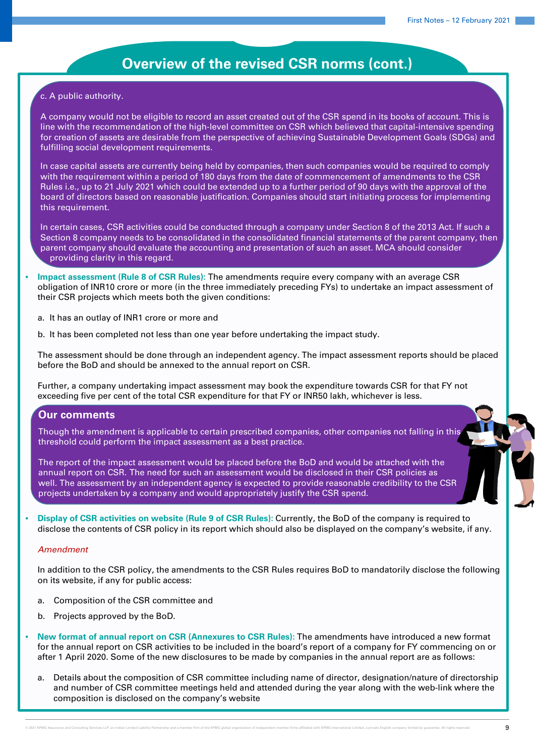## c. A public authority.

A company would not be eligible to record an asset created out of the CSR spend in its books of account. This is line with the recommendation of the high-level committee on CSR which believed that capital-intensive spending for creation of assets are desirable from the perspective of achieving Sustainable Development Goals (SDGs) and fulfilling social development requirements.

In case capital assets are currently being held by companies, then such companies would be required to comply with the requirement within a period of 180 days from the date of commencement of amendments to the CSR Rules i.e., up to 21 July 2021 which could be extended up to a further period of 90 days with the approval of the board of directors based on reasonable justification. Companies should start initiating process for implementing this requirement.

In certain cases, CSR activities could be conducted through a company under Section 8 of the 2013 Act. If such a Section 8 company needs to be consolidated in the consolidated financial statements of the parent company, then parent company should evaluate the accounting and presentation of such an asset. MCA should consider providing clarity in this regard.

- **Impact assessment (Rule 8 of CSR Rules):** The amendments require every company with an average CSR obligation of INR10 crore or more (in the three immediately preceding FYs) to undertake an impact assessment of their CSR projects which meets both the given conditions:
	- a. It has an outlay of INR1 crore or more and
	- b. It has been completed not less than one year before undertaking the impact study.

The assessment should be done through an independent agency. The impact assessment reports should be placed before the BoD and should be annexed to the annual report on CSR.

Further, a company undertaking impact assessment may book the expenditure towards CSR for that FY not exceeding five per cent of the total CSR expenditure for that FY or INR50 lakh, whichever is less.

## **Our comments**

Though the amendment is applicable to certain prescribed companies, other companies not falling in this threshold could perform the impact assessment as a best practice.

The report of the impact assessment would be placed before the BoD and would be attached with the annual report on CSR. The need for such an assessment would be disclosed in their CSR policies as well. The assessment by an independent agency is expected to provide reasonable credibility to the CSR projects undertaken by a company and would appropriately justify the CSR spend.

• **Display of CSR activities on website (Rule 9 of CSR Rules):** Currently, the BoD of the company is required to disclose the contents of CSR policy in its report which should also be displayed on the company's website, if any.

## *Amendment*

In addition to the CSR policy, the amendments to the CSR Rules requires BoD to mandatorily disclose the following on its website, if any for public access:

- a. Composition of the CSR committee and
- b. Projects approved by the BoD.
- **New format of annual report on CSR (Annexures to CSR Rules):** The amendments have introduced a new format for the annual report on CSR activities to be included in the board's report of a company for FY commencing on or after 1 April 2020. Some of the new disclosures to be made by companies in the annual report are as follows:
	- a. Details about the composition of CSR committee including name of director, designation/nature of directorship and number of CSR committee meetings held and attended during the year along with the web-link where the composition is disclosed on the company's website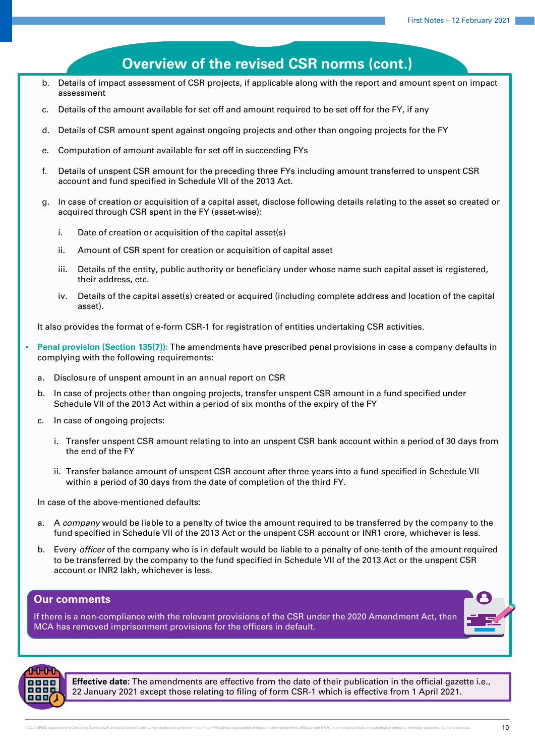## **Overview of the revised CSR norms (cont.)** b. Details of impact assessment of CSR projects, if applicable along with the report and amount spent on impact assessment c. Details of the amount available for set off and amount required to be set off for the FY, if any d. Details of CSR amount spent against ongoing projects and other than ongoing projects for the FY e. Computation of amount available for set off in succeeding FYs f. Details of unspent CSR amount for the preceding three FYs including amount transferred to unspent CSR account and fund specified in Schedule VII of the 2013 Act. g. In case of creation or acquisition of a capital asset, disclose following details relating to the asset so created or acquired through CSR spent in the FY (asset-wise): i. Date of creation or acquisition of the capital asset(s) ii. Amount of CSR spent for creation or acquisition of capital asset iii. Details of the entity, public authority or beneficiary under whose name such capital asset is registered, their address, etc. iv. Details of the capital asset(s) created or acquired (including complete address and location of the capital asset). It also provides the format of e-form CSR-1 for registration of entities undertaking CSR activities. • **Penal provision (Section 135(7)):** The amendments have prescribed penal provisions in case a company defaults in complying with the following requirements: a. Disclosure of unspent amount in an annual report on CSR b. In case of projects other than ongoing projects, transfer unspent CSR amount in a fund specified under Schedule VII of the 2013 Act within a period of six months of the expiry of the FY c. In case of ongoing projects: i. Transfer unspent CSR amount relating to into an unspent CSR bank account within a period of 30 days from the end of the FY

ii. Transfer balance amount of unspent CSR account after three years into a fund specified in Schedule VII within a period of 30 days from the date of completion of the third FY.

In case of the above-mentioned defaults:

- a. A *company* would be liable to a penalty of twice the amount required to be transferred by the company to the fund specified in Schedule VII of the 2013 Act or the unspent CSR account or INR1 crore, whichever is less.
- b. Every *officer* of the company who is in default would be liable to a penalty of one-tenth of the amount required to be transferred by the company to the fund specified in Schedule VII of the 2013 Act or the unspent CSR account or INR2 lakh, whichever is less.

## **Our comments**

If there is a non-compliance with the relevant provisions of the CSR under the 2020 Amendment Act, then MCA has removed imprisonment provisions for the officers in default.



**Effective date:** The amendments are effective from the date of their publication in the official gazette i.e., 22 January 2021 except those relating to filing of form CSR-1 which is effective from 1 April 2021.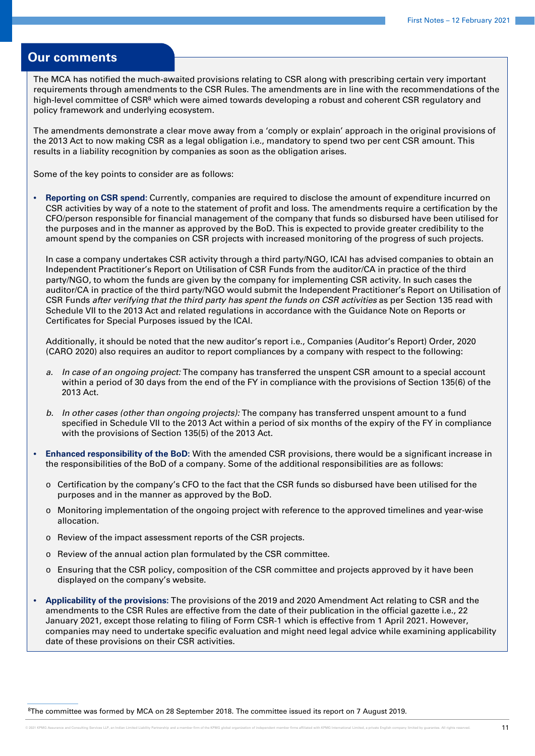## **Our comments**

The MCA has notified the much-awaited provisions relating to CSR along with prescribing certain very important requirements through amendments to the CSR Rules. The amendments are in line with the recommendations of the high-level committee of CSR<sup>8</sup> which were aimed towards developing a robust and coherent CSR regulatory and policy framework and underlying ecosystem.

The amendments demonstrate a clear move away from a 'comply or explain' approach in the original provisions of the 2013 Act to now making CSR as a legal obligation i.e., mandatory to spend two per cent CSR amount. This results in a liability recognition by companies as soon as the obligation arises.

Some of the key points to consider are as follows:

• **Reporting on CSR spend:** Currently, companies are required to disclose the amount of expenditure incurred on CSR activities by way of a note to the statement of profit and loss. The amendments require a certification by the CFO/person responsible for financial management of the company that funds so disbursed have been utilised for the purposes and in the manner as approved by the BoD. This is expected to provide greater credibility to the amount spend by the companies on CSR projects with increased monitoring of the progress of such projects.

In case a company undertakes CSR activity through a third party/NGO, ICAI has advised companies to obtain an Independent Practitioner's Report on Utilisation of CSR Funds from the auditor/CA in practice of the third party/NGO, to whom the funds are given by the company for implementing CSR activity. In such cases the auditor/CA in practice of the third party/NGO would submit the Independent Practitioner's Report on Utilisation of CSR Funds *after verifying that the third party has spent the funds on CSR activities* as per Section 135 read with Schedule VII to the 2013 Act and related regulations in accordance with the Guidance Note on Reports or Certificates for Special Purposes issued by the ICAI.

Additionally, it should be noted that the new auditor's report i.e., Companies (Auditor's Report) Order, 2020 (CARO 2020) also requires an auditor to report compliances by a company with respect to the following:

- *a. In case of an ongoing project:* The company has transferred the unspent CSR amount to a special account within a period of 30 days from the end of the FY in compliance with the provisions of Section 135(6) of the 2013 Act.
- *b. In other cases (other than ongoing projects):* The company has transferred unspent amount to a fund specified in Schedule VII to the 2013 Act within a period of six months of the expiry of the FY in compliance with the provisions of Section 135(5) of the 2013 Act.
- **Enhanced responsibility of the BoD:** With the amended CSR provisions, there would be a significant increase in the responsibilities of the BoD of a company. Some of the additional responsibilities are as follows:
	- o Certification by the company's CFO to the fact that the CSR funds so disbursed have been utilised for the purposes and in the manner as approved by the BoD.
	- o Monitoring implementation of the ongoing project with reference to the approved timelines and year-wise allocation.
	- o Review of the impact assessment reports of the CSR projects.
	- o Review of the annual action plan formulated by the CSR committee.
	- o Ensuring that the CSR policy, composition of the CSR committee and projects approved by it have been displayed on the company's website.
- **Applicability of the provisions:** The provisions of the 2019 and 2020 Amendment Act relating to CSR and the amendments to the CSR Rules are effective from the date of their publication in the official gazette i.e., 22 January 2021, except those relating to filing of Form CSR-1 which is effective from 1 April 2021. However, companies may need to undertake specific evaluation and might need legal advice while examining applicability date of these provisions on their CSR activities.

8The committee was formed by MCA on 28 September 2018. The committee issued its report on 7 August 2019.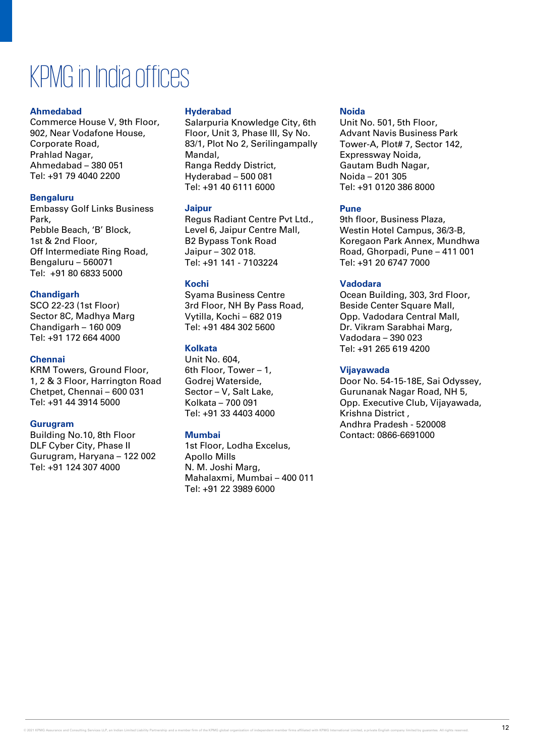## KPMG in India offices

## **Ahmedabad**

Commerce House V, 9th Floor, 902, Near Vodafone House, Corporate Road, Prahlad Nagar, Ahmedabad – 380 051 Tel: +91 79 4040 2200

## **Bengaluru**

Embassy Golf Links Business Park, Pebble Beach, 'B' Block, 1st & 2nd Floor, Off Intermediate Ring Road, Bengaluru – 560071 Tel: +91 80 6833 5000

## **Chandigarh**

SCO 22-23 (1st Floor) Sector 8C, Madhya Marg Chandigarh – 160 009 Tel: +91 172 664 4000

## **Chennai**

KRM Towers, Ground Floor, 1, 2 & 3 Floor, Harrington Road Chetpet, Chennai – 600 031 Tel: +91 44 3914 5000

## **Gurugram**

Building No.10, 8th Floor DLF Cyber City, Phase II Gurugram, Haryana – 122 002 Tel: +91 124 307 4000

## **Hyderabad**

Salarpuria Knowledge City, 6th Floor, Unit 3, Phase III, Sy No. 83/1, Plot No 2, Serilingampally Mandal, Ranga Reddy District, Hyderabad – 500 081 Tel: +91 40 6111 6000

## **Jaipur**

Regus Radiant Centre Pvt Ltd., Level 6, Jaipur Centre Mall, B2 Bypass Tonk Road Jaipur – 302 018. Tel: +91 141 - 7103224

## **Kochi**

Syama Business Centre 3rd Floor, NH By Pass Road, Vytilla, Kochi – 682 019 Tel: +91 484 302 5600

## **Kolkata**

Unit No. 604, 6th Floor, Tower – 1, Godrej Waterside, Sector – V, Salt Lake, Kolkata – 700 091 Tel: +91 33 4403 4000

## **Mumbai**

1st Floor, Lodha Excelus, Apollo Mills N. M. Joshi Marg, Mahalaxmi, Mumbai – 400 011 Tel: +91 22 3989 6000

## **Noida**

Unit No. 501, 5th Floor, Advant Navis Business Park Tower-A, Plot# 7, Sector 142, Expressway Noida, Gautam Budh Nagar, Noida – 201 305 Tel: +91 0120 386 8000

## **Pune**

9th floor, Business Plaza, Westin Hotel Campus, 36/3-B, Koregaon Park Annex, Mundhwa Road, Ghorpadi, Pune – 411 001 Tel: +91 20 6747 7000

## **Vadodara**

Ocean Building, 303, 3rd Floor, Beside Center Square Mall, Opp. Vadodara Central Mall, Dr. Vikram Sarabhai Marg, Vadodara – 390 023 Tel: +91 265 619 4200

## **Vijayawada**

Door No. 54-15-18E, Sai Odyssey, Gurunanak Nagar Road, NH 5, Opp. Executive Club, Vijayawada, Krishna District , Andhra Pradesh - 520008 Contact: 0866-6691000